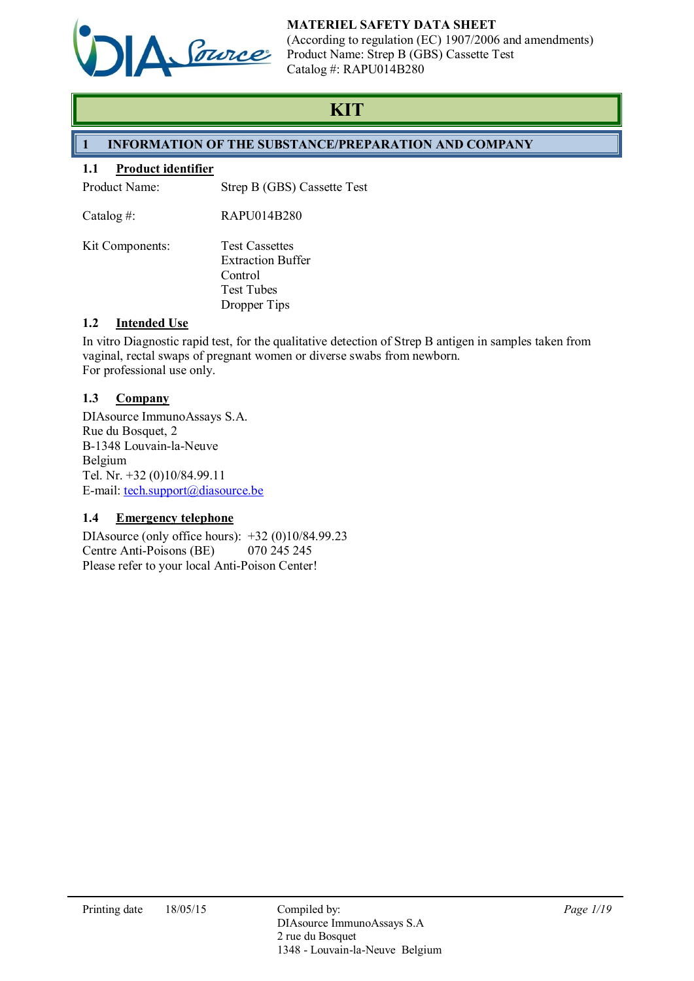

# MATERIEL SAFETY DATA SHEET

(According to regulation (EC) 1907/2006 and amendments) Product Name: Strep B (GBS) Cassette Test Catalog #: RAPU014B280

# **KIT**

# 1 INFORMATION OF THE SUBSTANCE/PREPARATION AND COMPANY

# 1.1 Product identifier

Product Name: Strep B (GBS) Cassette Test

Catalog #: RAPU014B280

Kit Components: Test Cassettes Extraction Buffer **Control** Test Tubes Dropper Tips

# 1.2 Intended Use

In vitro Diagnostic rapid test, for the qualitative detection of Strep B antigen in samples taken from vaginal, rectal swaps of pregnant women or diverse swabs from newborn. For professional use only.

# 1.3 Company

DIAsource ImmunoAssays S.A. Rue du Bosquet, 2 B-1348 Louvain-la-Neuve Belgium Tel. Nr. +32 (0)10/84.99.11 E-mail: tech.support@diasource.be

# 1.4 Emergency telephone

DIAsource (only office hours): +32 (0)10/84.99.23<br>Centre Anti-Poisons (BE) 070 245 245 Centre Anti-Poisons (BE) Please refer to your local Anti-Poison Center!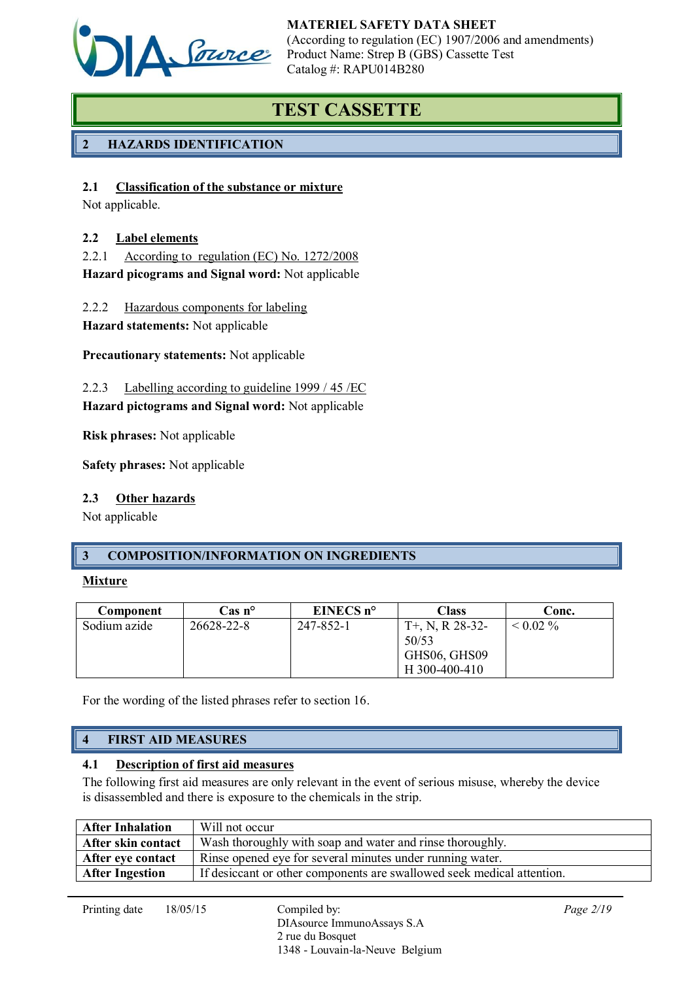

# TEST CASSETTE

# 2 HAZARDS IDENTIFICATION

# 2.1 Classification of the substance or mixture

Not applicable.

# 2.2 Label elements

2.2.1 According to regulation (EC) No. 1272/2008 Hazard picograms and Signal word: Not applicable

2.2.2 Hazardous components for labeling

Hazard statements: Not applicable

Precautionary statements: Not applicable

2.2.3 Labelling according to guideline 1999 / 45 /EC

Hazard pictograms and Signal word: Not applicable

Risk phrases: Not applicable

Safety phrases: Not applicable

# 2.3 Other hazards

Not applicable

# 3 COMPOSITION/INFORMATION ON INGREDIENTS

### Mixture

| Component    | $\cos n^{\circ}$ | EINECS $n^{\circ}$ | Class                                                        | Conc.    |
|--------------|------------------|--------------------|--------------------------------------------------------------|----------|
| Sodium azide | 26628-22-8       | 247-852-1          | $T+$ , N, R 28-32-<br>50/53<br>GHS06, GHS09<br>H 300-400-410 | $0.02\%$ |

For the wording of the listed phrases refer to section 16.

# 4 FIRST AID MEASURES

# 4.1 Description of first aid measures

The following first aid measures are only relevant in the event of serious misuse, whereby the device is disassembled and there is exposure to the chemicals in the strip.

| <b>After Inhalation</b> | Will not occur                                                         |
|-------------------------|------------------------------------------------------------------------|
| After skin contact      | Wash thoroughly with soap and water and rinse thoroughly.              |
| After eye contact       | Rinse opened eye for several minutes under running water.              |
| <b>After Ingestion</b>  | If desiccant or other components are swallowed seek medical attention. |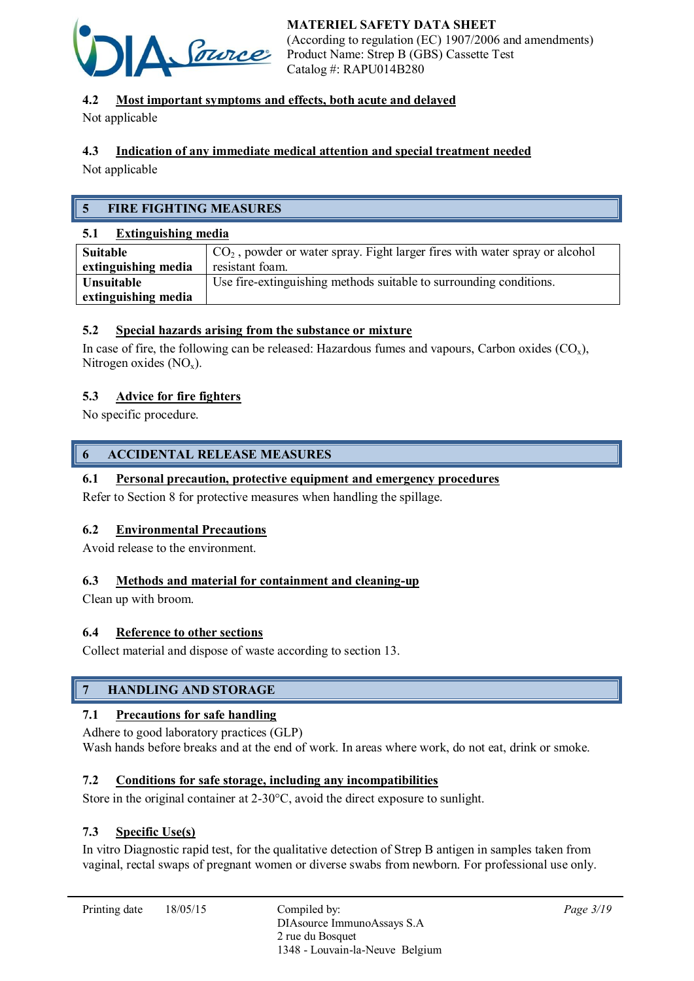

# 4.2 Most important symptoms and effects, both acute and delayed

Not applicable

# 4.3 Indication of any immediate medical attention and special treatment needed

Not applicable

# 5 FIRE FIGHTING MEASURES

### 5.1 Extinguishing media

| Suitable            | $\vert$ CO <sub>2</sub> , powder or water spray. Fight larger fires with water spray or alcohol |
|---------------------|-------------------------------------------------------------------------------------------------|
| extinguishing media | resistant foam.                                                                                 |
| Unsuitable          | Use fire-extinguishing methods suitable to surrounding conditions.                              |
| extinguishing media |                                                                                                 |

# 5.2 Special hazards arising from the substance or mixture

In case of fire, the following can be released: Hazardous fumes and vapours, Carbon oxides  $(CO_x)$ , Nitrogen oxides  $(NO<sub>x</sub>)$ .

### 5.3 Advice for fire fighters

No specific procedure.

# 6 ACCIDENTAL RELEASE MEASURES

# 6.1 Personal precaution, protective equipment and emergency procedures

Refer to Section 8 for protective measures when handling the spillage.

### 6.2 Environmental Precautions

Avoid release to the environment.

### 6.3 Methods and material for containment and cleaning-up

Clean up with broom.

### 6.4 Reference to other sections

Collect material and dispose of waste according to section 13.

# 7 HANDLING AND STORAGE

# 7.1 Precautions for safe handling

Adhere to good laboratory practices (GLP) Wash hands before breaks and at the end of work. In areas where work, do not eat, drink or smoke.

# 7.2 Conditions for safe storage, including any incompatibilities

Store in the original container at 2-30°C, avoid the direct exposure to sunlight.

### 7.3 Specific Use(s)

In vitro Diagnostic rapid test, for the qualitative detection of Strep B antigen in samples taken from vaginal, rectal swaps of pregnant women or diverse swabs from newborn. For professional use only.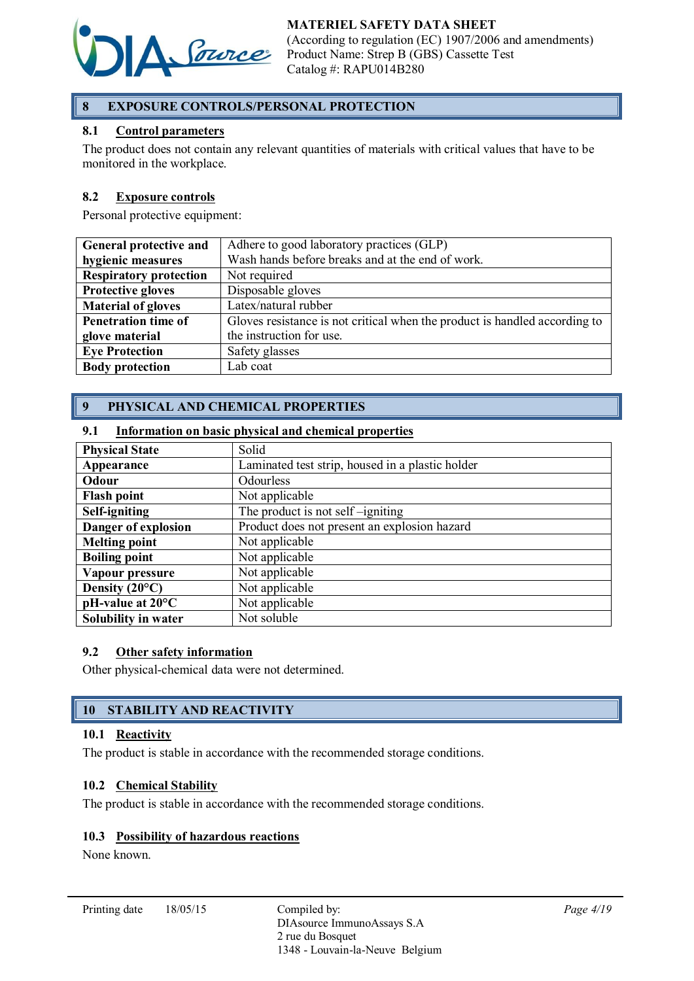

# 8 EXPOSURE CONTROLS/PERSONAL PROTECTION

# 8.1 Control parameters

The product does not contain any relevant quantities of materials with critical values that have to be monitored in the workplace.

### 8.2 Exposure controls

Personal protective equipment:

| General protective and        | Adhere to good laboratory practices (GLP)                                  |  |
|-------------------------------|----------------------------------------------------------------------------|--|
| hygienic measures             | Wash hands before breaks and at the end of work.                           |  |
| <b>Respiratory protection</b> | Not required                                                               |  |
| <b>Protective gloves</b>      | Disposable gloves                                                          |  |
| <b>Material of gloves</b>     | Latex/natural rubber                                                       |  |
| <b>Penetration time of</b>    | Gloves resistance is not critical when the product is handled according to |  |
| glove material                | the instruction for use.                                                   |  |
| <b>Eve Protection</b>         | Safety glasses                                                             |  |
| <b>Body protection</b>        | Lab coat                                                                   |  |

# 9 PHYSICAL AND CHEMICAL PROPERTIES

### 9.1 Information on basic physical and chemical properties

| <b>Physical State</b>         | Solid                                            |
|-------------------------------|--------------------------------------------------|
| Appearance                    | Laminated test strip, housed in a plastic holder |
| Odour                         | Odourless                                        |
| <b>Flash point</b>            | Not applicable                                   |
| Self-igniting                 | The product is not self-igniting                 |
| Danger of explosion           | Product does not present an explosion hazard     |
| <b>Melting point</b>          | Not applicable                                   |
| <b>Boiling point</b>          | Not applicable                                   |
| Vapour pressure               | Not applicable                                   |
| Density $(20^{\circ}C)$       | Not applicable                                   |
| $pH$ -value at 20 $^{\circ}C$ | Not applicable                                   |
| Solubility in water           | Not soluble                                      |

### 9.2 Other safety information

Other physical-chemical data were not determined.

# 10 STABILITY AND REACTIVITY

### 10.1 Reactivity

The product is stable in accordance with the recommended storage conditions.

### 10.2 Chemical Stability

The product is stable in accordance with the recommended storage conditions.

### 10.3 Possibility of hazardous reactions

None known.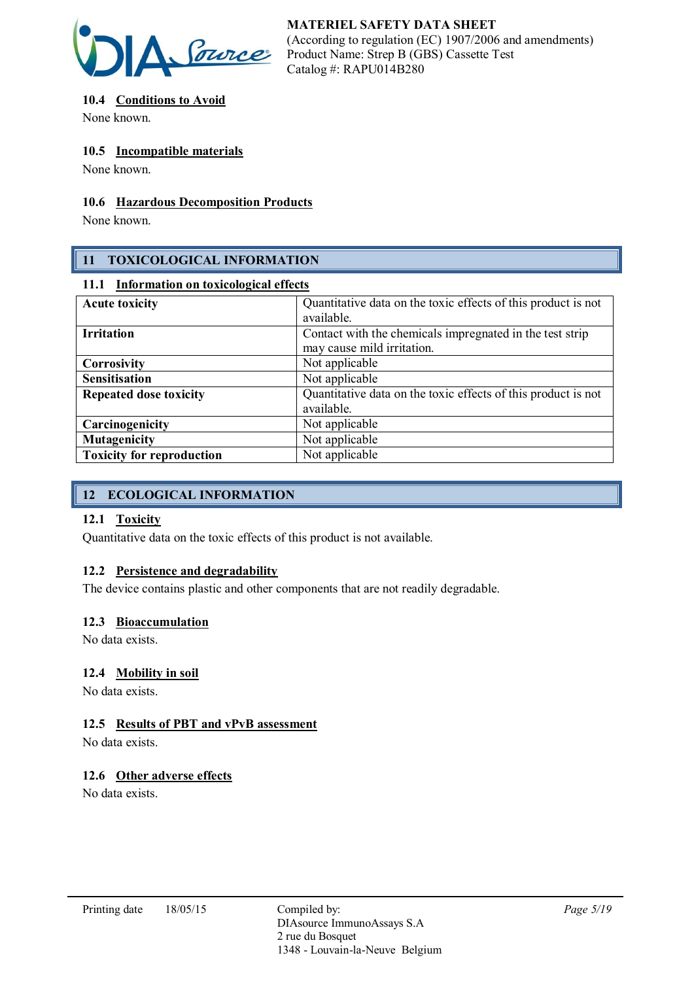

# 10.4 Conditions to Avoid

None known.

# 10.5 Incompatible materials

None known.

# 10.6 Hazardous Decomposition Products

None known.

# 11 TOXICOLOGICAL INFORMATION

### 11.1 Information on toxicological effects

| Quantitative data on the toxic effects of this product is not<br><b>Acute toxicity</b> |                                                               |
|----------------------------------------------------------------------------------------|---------------------------------------------------------------|
|                                                                                        | available.                                                    |
| <b>Irritation</b>                                                                      | Contact with the chemicals impregnated in the test strip      |
|                                                                                        | may cause mild irritation.                                    |
| <b>Corrosivity</b>                                                                     | Not applicable                                                |
| <b>Sensitisation</b>                                                                   | Not applicable                                                |
| <b>Repeated dose toxicity</b>                                                          | Quantitative data on the toxic effects of this product is not |
|                                                                                        | available.                                                    |
| Carcinogenicity                                                                        | Not applicable                                                |
| <b>Mutagenicity</b>                                                                    | Not applicable                                                |
| <b>Toxicity for reproduction</b>                                                       | Not applicable                                                |

# 12 ECOLOGICAL INFORMATION

# 12.1 Toxicity

Quantitative data on the toxic effects of this product is not available.

# 12.2 Persistence and degradability

The device contains plastic and other components that are not readily degradable.

# 12.3 Bioaccumulation

No data exists.

# 12.4 Mobility in soil

No data exists.

# 12.5 Results of PBT and vPvB assessment

No data exists.

# 12.6 Other adverse effects

No data exists.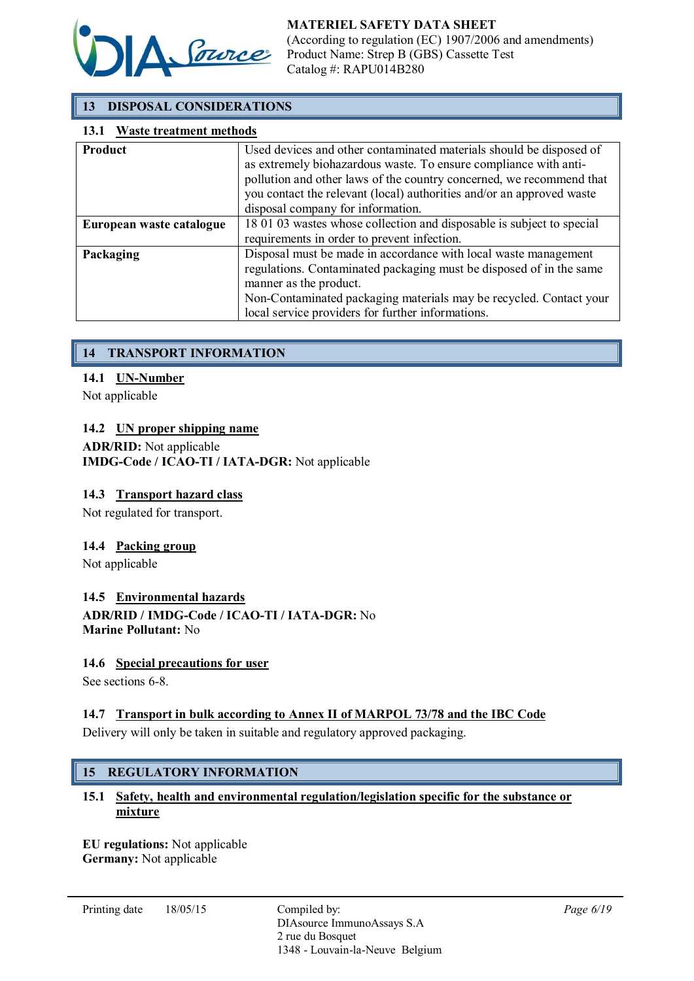

# 13 DISPOSAL CONSIDERATIONS

### 13.1 Waste treatment methods

| <b>Product</b>           | Used devices and other contaminated materials should be disposed of   |  |
|--------------------------|-----------------------------------------------------------------------|--|
|                          | as extremely biohazardous waste. To ensure compliance with anti-      |  |
|                          | pollution and other laws of the country concerned, we recommend that  |  |
|                          | you contact the relevant (local) authorities and/or an approved waste |  |
|                          | disposal company for information.                                     |  |
| European waste catalogue | 18 01 03 wastes whose collection and disposable is subject to special |  |
|                          | requirements in order to prevent infection.                           |  |
| Packaging                | Disposal must be made in accordance with local waste management       |  |
|                          | regulations. Contaminated packaging must be disposed of in the same   |  |
|                          | manner as the product.                                                |  |
|                          | Non-Contaminated packaging materials may be recycled. Contact your    |  |
|                          | local service providers for further informations.                     |  |

# 14 TRANSPORT INFORMATION

### 14.1 UN-Number

Not applicable

### 14.2 UN proper shipping name

### ADR/RID: Not applicable IMDG-Code / ICAO-TI / IATA-DGR: Not applicable

### 14.3 Transport hazard class

Not regulated for transport.

# 14.4 Packing group

Not applicable

14.5 Environmental hazards ADR/RID / IMDG-Code / ICAO-TI / IATA-DGR: No

Marine Pollutant: No

### 14.6 Special precautions for user

See sections 6-8.

# 14.7 Transport in bulk according to Annex II of MARPOL 73/78 and the IBC Code

Delivery will only be taken in suitable and regulatory approved packaging.

# 15 REGULATORY INFORMATION

# 15.1 Safety, health and environmental regulation/legislation specific for the substance or mixture

EU regulations: Not applicable Germany: Not applicable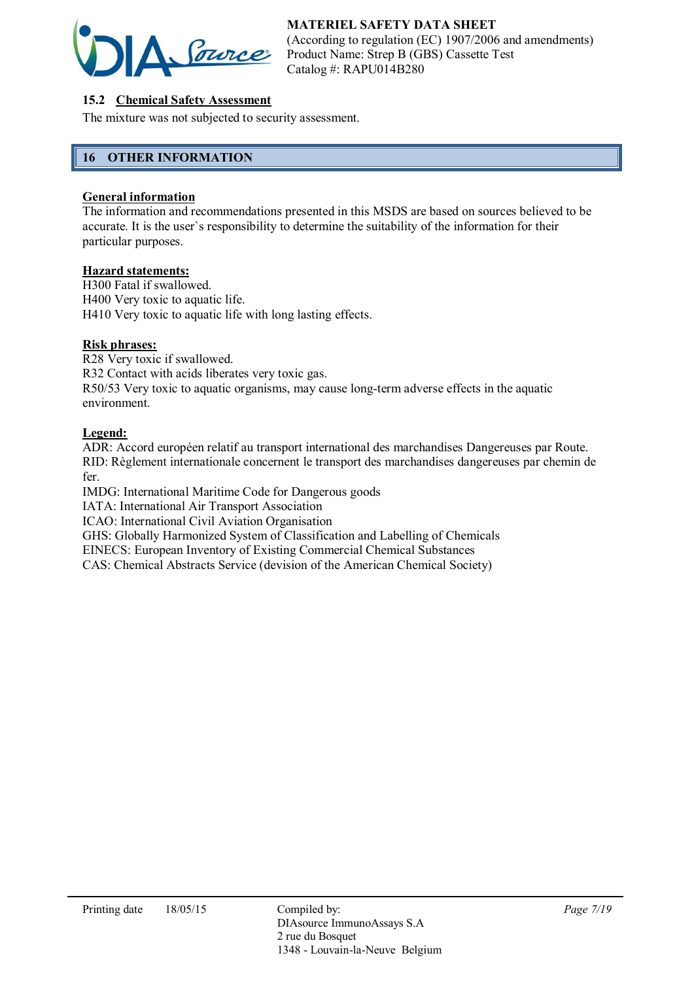

# 15.2 Chemical Safety Assessment

The mixture was not subjected to security assessment.

# 16 OTHER INFORMATION

### General information

The information and recommendations presented in this MSDS are based on sources believed to be accurate. It is the user`s responsibility to determine the suitability of the information for their particular purposes.

### Hazard statements:

H300 Fatal if swallowed. H400 Very toxic to aquatic life. H410 Very toxic to aquatic life with long lasting effects.

### Risk phrases:

R28 Very toxic if swallowed. R32 Contact with acids liberates very toxic gas. R50/53 Very toxic to aquatic organisms, may cause long-term adverse effects in the aquatic environment.

### Legend:

ADR: Accord européen relatif au transport international des marchandises Dangereuses par Route. RID: Règlement internationale concernent le transport des marchandises dangereuses par chemin de fer.

IMDG: International Maritime Code for Dangerous goods

IATA: International Air Transport Association

ICAO: International Civil Aviation Organisation

GHS: Globally Harmonized System of Classification and Labelling of Chemicals

EINECS: European Inventory of Existing Commercial Chemical Substances

CAS: Chemical Abstracts Service (devision of the American Chemical Society)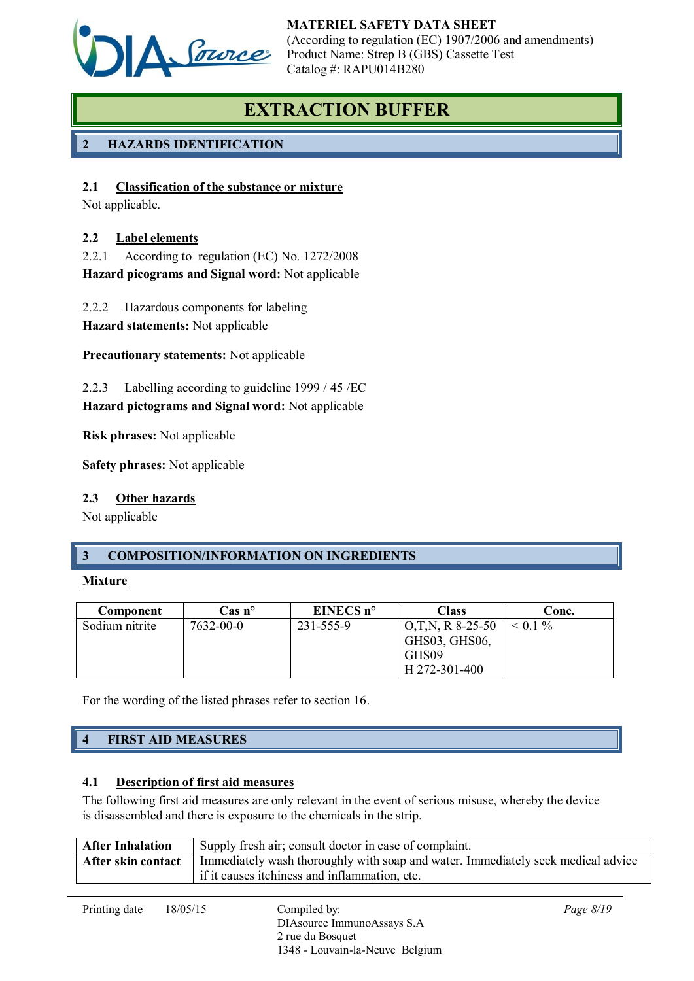

# EXTRACTION BUFFER

# 2 HAZARDS IDENTIFICATION

# 2.1 Classification of the substance or mixture

Not applicable.

# 2.2 Label elements

2.2.1 According to regulation (EC) No. 1272/2008 Hazard picograms and Signal word: Not applicable

2.2.2 Hazardous components for labeling

Hazard statements: Not applicable

Precautionary statements: Not applicable

2.2.3 Labelling according to guideline 1999 / 45 /EC

Hazard pictograms and Signal word: Not applicable

Risk phrases: Not applicable

Safety phrases: Not applicable

# 2.3 Other hazards

Not applicable

# 3 COMPOSITION/INFORMATION ON INGREDIENTS

### Mixture

| Component      | $\cos n^{\circ}$ | EINECS $n^{\circ}$ | Class              | Conc.     |
|----------------|------------------|--------------------|--------------------|-----------|
| Sodium nitrite | 7632-00-0        | 231-555-9          | $O,T,N, R$ 8-25-50 | $< 0.1\%$ |
|                |                  |                    | GHS03, GHS06,      |           |
|                |                  |                    | GHS09              |           |
|                |                  |                    | H 272-301-400      |           |

For the wording of the listed phrases refer to section 16.

# 4 FIRST AID MEASURES

# 4.1 Description of first aid measures

The following first aid measures are only relevant in the event of serious misuse, whereby the device is disassembled and there is exposure to the chemicals in the strip.

2 rue du Bosquet

| <b>After Inhalation</b> |          | Supply fresh air; consult doctor in case of complaint.                           |             |  |
|-------------------------|----------|----------------------------------------------------------------------------------|-------------|--|
| After skin contact      |          | Immediately wash thoroughly with soap and water. Immediately seek medical advice |             |  |
|                         |          | if it causes itchiness and inflammation, etc.                                    |             |  |
|                         |          |                                                                                  |             |  |
| Printing date           | 18/05/15 | Compiled by:<br>DIAsource ImmunoAssays S.A                                       | Page $8/19$ |  |

1348 - Louvain-la-Neuve Belgium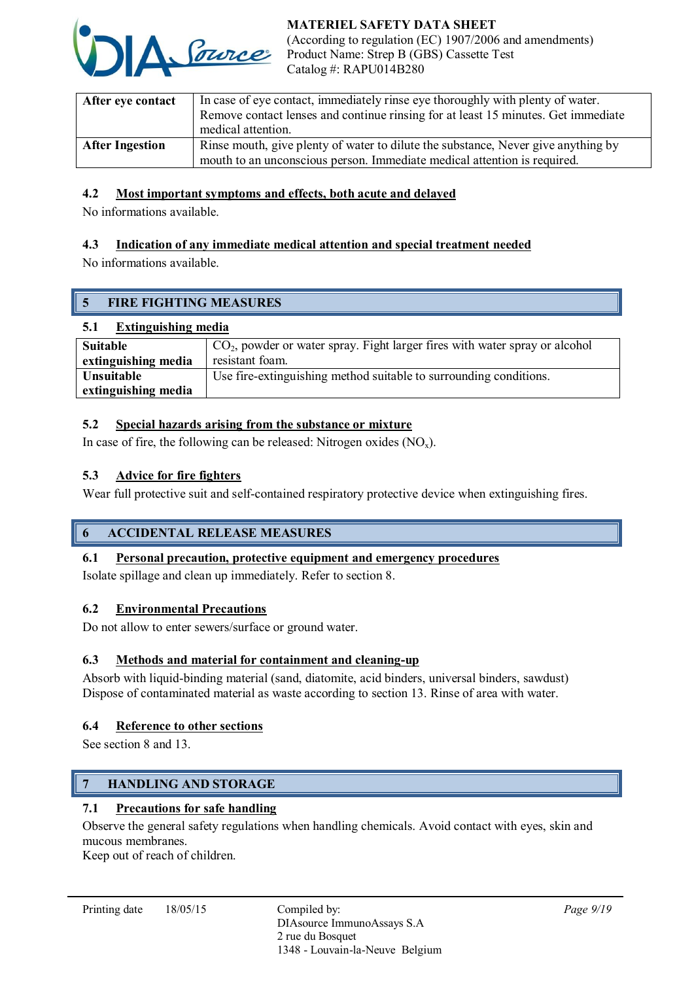

| After eye contact      | In case of eye contact, immediately rinse eye thoroughly with plenty of water.<br>Remove contact lenses and continue rinsing for at least 15 minutes. Get immediate<br>medical attention. |  |
|------------------------|-------------------------------------------------------------------------------------------------------------------------------------------------------------------------------------------|--|
| <b>After Ingestion</b> | Rinse mouth, give plenty of water to dilute the substance, Never give anything by<br>mouth to an unconscious person. Immediate medical attention is required.                             |  |

# 4.2 Most important symptoms and effects, both acute and delayed

No informations available.

# 4.3 Indication of any immediate medical attention and special treatment needed

No informations available.

# 5 FIRE FIGHTING MEASURES

# 5.1 Extinguishing media

| Suitable            | $\vert$ CO <sub>2</sub> , powder or water spray. Fight larger fires with water spray or alcohol |  |
|---------------------|-------------------------------------------------------------------------------------------------|--|
| extinguishing media | resistant foam.                                                                                 |  |
| <b>Unsuitable</b>   | Use fire-extinguishing method suitable to surrounding conditions.                               |  |
| extinguishing media |                                                                                                 |  |

### 5.2 Special hazards arising from the substance or mixture

In case of fire, the following can be released: Nitrogen oxides  $(NO_x)$ .

# 5.3 Advice for fire fighters

Wear full protective suit and self-contained respiratory protective device when extinguishing fires.

# 6 ACCIDENTAL RELEASE MEASURES

# 6.1 Personal precaution, protective equipment and emergency procedures

Isolate spillage and clean up immediately. Refer to section 8.

# 6.2 Environmental Precautions

Do not allow to enter sewers/surface or ground water.

# 6.3 Methods and material for containment and cleaning-up

Absorb with liquid-binding material (sand, diatomite, acid binders, universal binders, sawdust) Dispose of contaminated material as waste according to section 13. Rinse of area with water.

# 6.4 Reference to other sections

See section 8 and 13.

# 7 HANDLING AND STORAGE

# 7.1 Precautions for safe handling

Observe the general safety regulations when handling chemicals. Avoid contact with eyes, skin and mucous membranes.

Keep out of reach of children.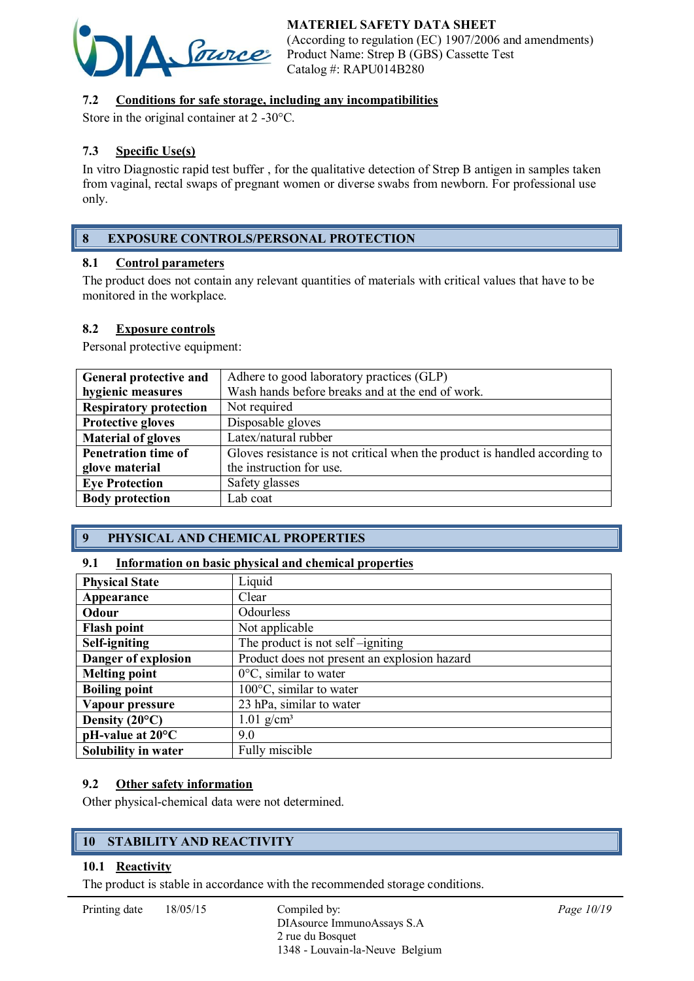# MATERIEL SAFETY DATA SHEET



(According to regulation (EC) 1907/2006 and amendments) Product Name: Strep B (GBS) Cassette Test Catalog #: RAPU014B280

# 7.2 Conditions for safe storage, including any incompatibilities

Store in the original container at 2 -30°C.

# 7.3 Specific Use(s)

In vitro Diagnostic rapid test buffer , for the qualitative detection of Strep B antigen in samples taken from vaginal, rectal swaps of pregnant women or diverse swabs from newborn. For professional use only.

# 8 EXPOSURE CONTROLS/PERSONAL PROTECTION

### 8.1 Control parameters

The product does not contain any relevant quantities of materials with critical values that have to be monitored in the workplace.

### 8.2 Exposure controls

Personal protective equipment:

| General protective and        | Adhere to good laboratory practices (GLP)                                  |
|-------------------------------|----------------------------------------------------------------------------|
| hygienic measures             | Wash hands before breaks and at the end of work.                           |
| <b>Respiratory protection</b> | Not required                                                               |
| <b>Protective gloves</b>      | Disposable gloves                                                          |
| <b>Material of gloves</b>     | Latex/natural rubber                                                       |
| <b>Penetration time of</b>    | Gloves resistance is not critical when the product is handled according to |
| glove material                | the instruction for use.                                                   |
| <b>Eye Protection</b>         | Safety glasses                                                             |
| <b>Body protection</b>        | Lab coat                                                                   |

# 9 PHYSICAL AND CHEMICAL PROPERTIES

### 9.1 Information on basic physical and chemical properties

| <b>Physical State</b>        | Liquid                                       |  |
|------------------------------|----------------------------------------------|--|
| Appearance                   | Clear                                        |  |
| Odour                        | Odourless                                    |  |
| <b>Flash point</b>           | Not applicable                               |  |
| Self-igniting                | The product is not self-igniting             |  |
| Danger of explosion          | Product does not present an explosion hazard |  |
| <b>Melting point</b>         | $0^{\circ}$ C, similar to water              |  |
| <b>Boiling point</b>         | $100^{\circ}$ C, similar to water            |  |
| Vapour pressure              | 23 hPa, similar to water                     |  |
| Density $(20^{\circ}C)$      | $1.01$ g/cm <sup>3</sup>                     |  |
| $pH$ -value at $20^{\circ}C$ | 9.0                                          |  |
| Solubility in water          | Fully miscible                               |  |

### 9.2 Other safety information

Other physical-chemical data were not determined.

# 10 STABILITY AND REACTIVITY

# 10.1 Reactivity

The product is stable in accordance with the recommended storage conditions.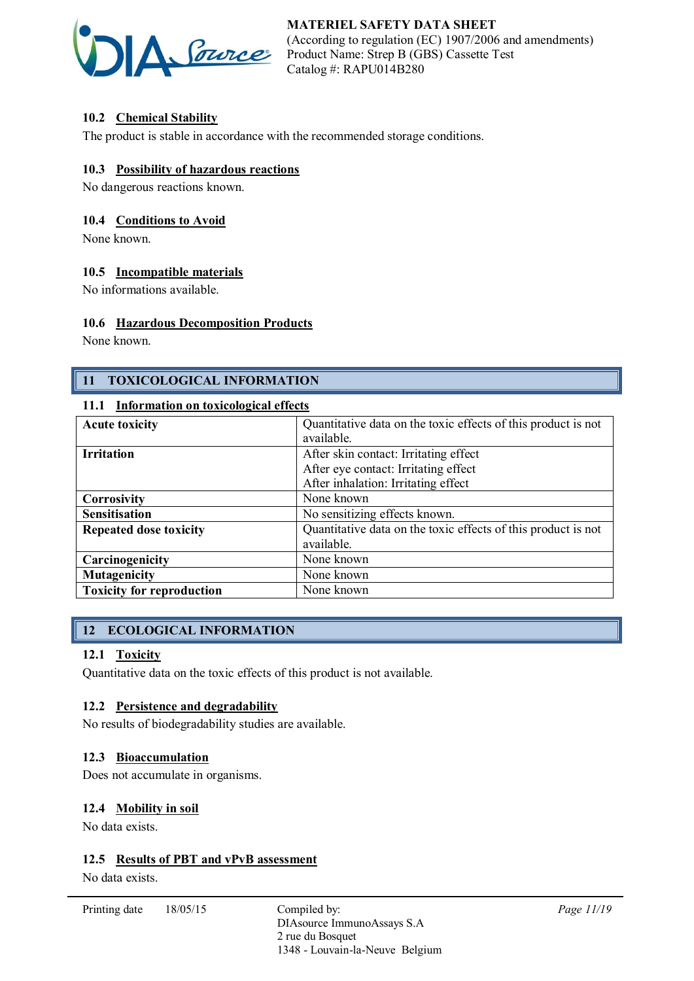

# 10.2 Chemical Stability

The product is stable in accordance with the recommended storage conditions.

### 10.3 Possibility of hazardous reactions

No dangerous reactions known.

### 10.4 Conditions to Avoid

None known.

### 10.5 Incompatible materials

No informations available.

### 10.6 Hazardous Decomposition Products

None known.

# 11 TOXICOLOGICAL INFORMATION

### 11.1 Information on toxicological effects

| <b>Acute toxicity</b>            | Quantitative data on the toxic effects of this product is not |  |
|----------------------------------|---------------------------------------------------------------|--|
|                                  | available.                                                    |  |
| <b>Irritation</b>                | After skin contact: Irritating effect                         |  |
|                                  | After eye contact: Irritating effect                          |  |
|                                  | After inhalation: Irritating effect                           |  |
| <b>Corrosivity</b>               | None known                                                    |  |
| <b>Sensitisation</b>             | No sensitizing effects known.                                 |  |
| <b>Repeated dose toxicity</b>    | Quantitative data on the toxic effects of this product is not |  |
|                                  | available.                                                    |  |
| Carcinogenicity                  | None known                                                    |  |
| <b>Mutagenicity</b>              | None known                                                    |  |
| <b>Toxicity for reproduction</b> | None known                                                    |  |

# 12 ECOLOGICAL INFORMATION

### 12.1 Toxicity

Quantitative data on the toxic effects of this product is not available.

### 12.2 Persistence and degradability

No results of biodegradability studies are available.

### 12.3 Bioaccumulation

Does not accumulate in organisms.

### 12.4 Mobility in soil

No data exists.

### 12.5 Results of PBT and vPvB assessment

No data exists.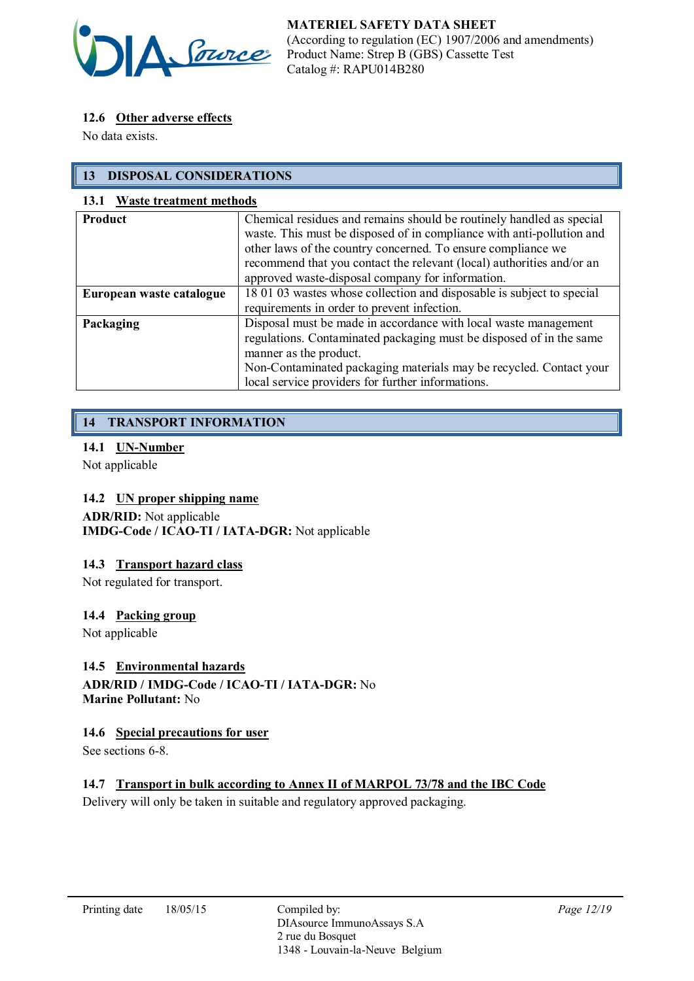

# 12.6 Other adverse effects

No data exists.

# 13 DISPOSAL CONSIDERATIONS

### 13.1 Waste treatment methods

| <b>Product</b>           | Chemical residues and remains should be routinely handled as special<br>waste. This must be disposed of in compliance with anti-pollution and<br>other laws of the country concerned. To ensure compliance we<br>recommend that you contact the relevant (local) authorities and/or an<br>approved waste-disposal company for information. |
|--------------------------|--------------------------------------------------------------------------------------------------------------------------------------------------------------------------------------------------------------------------------------------------------------------------------------------------------------------------------------------|
| European waste catalogue | 18 01 03 wastes whose collection and disposable is subject to special                                                                                                                                                                                                                                                                      |
|                          | requirements in order to prevent infection.                                                                                                                                                                                                                                                                                                |
| Packaging                | Disposal must be made in accordance with local waste management<br>regulations. Contaminated packaging must be disposed of in the same<br>manner as the product.<br>Non-Contaminated packaging materials may be recycled. Contact your<br>local service providers for further informations.                                                |

# 14 TRANSPORT INFORMATION

### 14.1 UN-Number

Not applicable

# 14.2 UN proper shipping name

ADR/RID: Not applicable IMDG-Code / ICAO-TI / IATA-DGR: Not applicable

### 14.3 Transport hazard class

Not regulated for transport.

### 14.4 Packing group

Not applicable

# 14.5 Environmental hazards

ADR/RID / IMDG-Code / ICAO-TI / IATA-DGR: No Marine Pollutant: No

### 14.6 Special precautions for user

See sections 6-8.

# 14.7 Transport in bulk according to Annex II of MARPOL 73/78 and the IBC Code

Delivery will only be taken in suitable and regulatory approved packaging.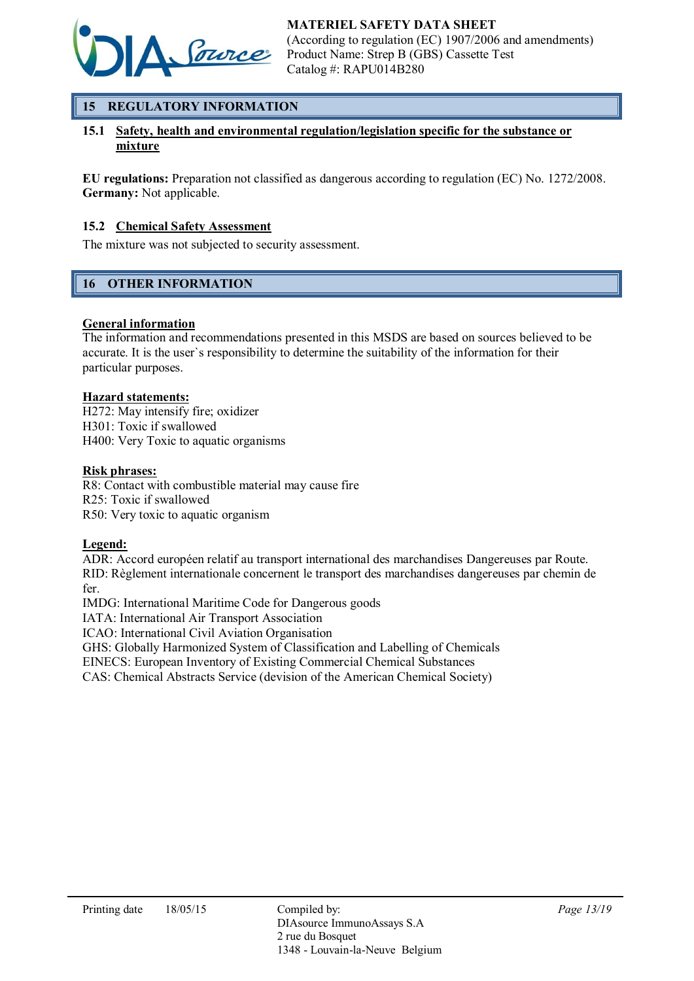

# 15 REGULATORY INFORMATION

### 15.1 Safety, health and environmental regulation/legislation specific for the substance or mixture

EU regulations: Preparation not classified as dangerous according to regulation (EC) No. 1272/2008. Germany: Not applicable.

### 15.2 Chemical Safety Assessment

The mixture was not subjected to security assessment.

# 16 OTHER INFORMATION

### General information

The information and recommendations presented in this MSDS are based on sources believed to be accurate. It is the user`s responsibility to determine the suitability of the information for their particular purposes.

### Hazard statements:

H272: May intensify fire; oxidizer H301: Toxic if swallowed H400: Very Toxic to aquatic organisms

### Risk phrases:

R8: Contact with combustible material may cause fire R25: Toxic if swallowed R50: Very toxic to aquatic organism

### Legend:

ADR: Accord européen relatif au transport international des marchandises Dangereuses par Route. RID: Règlement internationale concernent le transport des marchandises dangereuses par chemin de fer.

IMDG: International Maritime Code for Dangerous goods

IATA: International Air Transport Association

ICAO: International Civil Aviation Organisation

GHS: Globally Harmonized System of Classification and Labelling of Chemicals

EINECS: European Inventory of Existing Commercial Chemical Substances

CAS: Chemical Abstracts Service (devision of the American Chemical Society)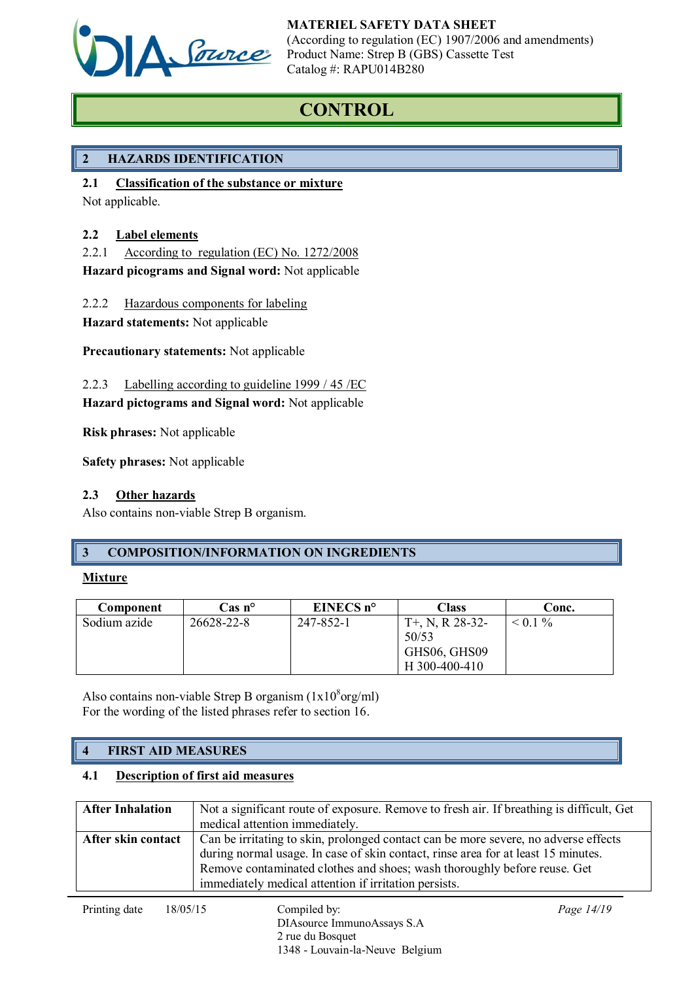

# **CONTROL**

# 2 HAZARDS IDENTIFICATION

2.1 Classification of the substance or mixture

Not applicable.

# 2.2 Label elements

2.2.1 According to regulation (EC) No. 1272/2008

Hazard picograms and Signal word: Not applicable

2.2.2 Hazardous components for labeling

Hazard statements: Not applicable

Precautionary statements: Not applicable

2.2.3 Labelling according to guideline 1999 / 45 /EC

# Hazard pictograms and Signal word: Not applicable

Risk phrases: Not applicable

Safety phrases: Not applicable

# 2.3 Other hazards

Also contains non-viable Strep B organism.

# 3 COMPOSITION/INFORMATION ON INGREDIENTS

# **Mixture**

| Component    | $\cos n^{\circ}$ | EINECS $n^{\circ}$ | Class                                       | Conc.        |
|--------------|------------------|--------------------|---------------------------------------------|--------------|
| Sodium azide | 26628-22-8       | 247-852-1          | $T+$ , N, R 28-32-<br>50/53<br>GHS06, GHS09 | $\leq 0.1\%$ |
|              |                  |                    | H 300-400-410                               |              |

Also contains non-viable Strep B organism  $(1x10<sup>8</sup>$ org/ml) For the wording of the listed phrases refer to section 16.

# 4 FIRST AID MEASURES

# 4.1 Description of first aid measures

| <b>After Inhalation</b> | Not a significant route of exposure. Remove to fresh air. If breathing is difficult, Get<br>medical attention immediately.                                                                                                                                                                                    |
|-------------------------|---------------------------------------------------------------------------------------------------------------------------------------------------------------------------------------------------------------------------------------------------------------------------------------------------------------|
| After skin contact      | Can be irritating to skin, prolonged contact can be more severe, no adverse effects<br>during normal usage. In case of skin contact, rinse area for at least 15 minutes.<br>Remove contaminated clothes and shoes; wash thoroughly before reuse. Get<br>immediately medical attention if irritation persists. |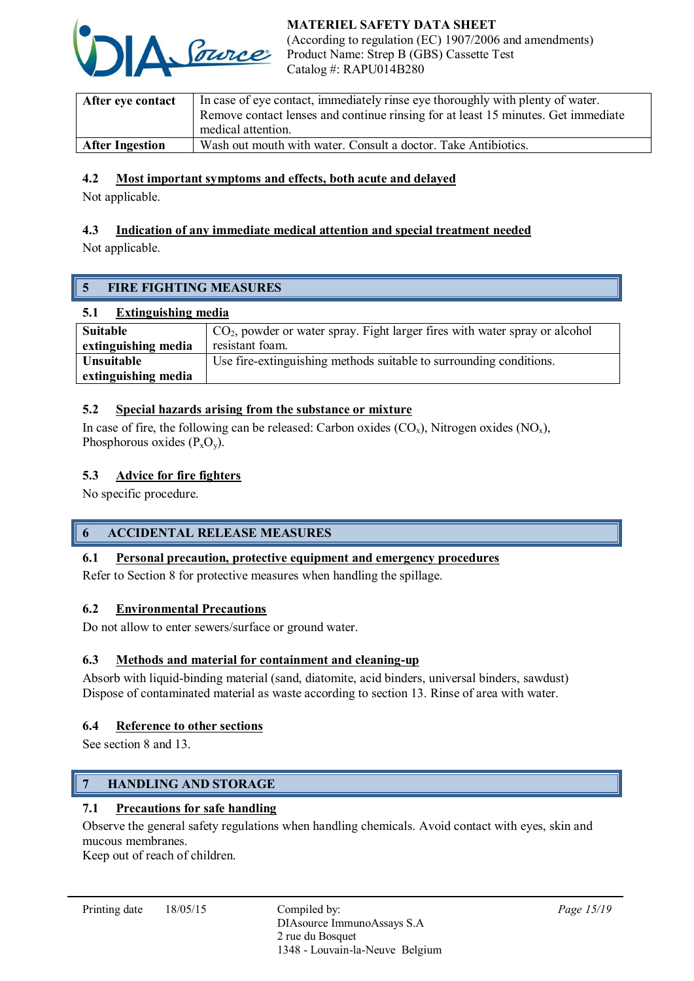

| After eye contact      | In case of eye contact, immediately rinse eye thoroughly with plenty of water.    |  |
|------------------------|-----------------------------------------------------------------------------------|--|
|                        | Remove contact lenses and continue rinsing for at least 15 minutes. Get immediate |  |
|                        | medical attention.                                                                |  |
| <b>After Ingestion</b> | Wash out mouth with water. Consult a doctor. Take Antibiotics.                    |  |

### 4.2 Most important symptoms and effects, both acute and delayed

Not applicable.

# 4.3 Indication of any immediate medical attention and special treatment needed

Not applicable.

# 5 FIRE FIGHTING MEASURES

### 5.1 Extinguishing media

| Suitable            | $\mathrm{CO}_{2}$ , powder or water spray. Fight larger fires with water spray or alcohol |
|---------------------|-------------------------------------------------------------------------------------------|
| extinguishing media | resistant foam.                                                                           |
| Unsuitable          | Use fire-extinguishing methods suitable to surrounding conditions.                        |
| extinguishing media |                                                                                           |

### 5.2 Special hazards arising from the substance or mixture

In case of fire, the following can be released: Carbon oxides  $(CO_x)$ , Nitrogen oxides  $(NO_x)$ , Phosphorous oxides  $(P_xO_y)$ .

### 5.3 Advice for fire fighters

No specific procedure.

# 6 ACCIDENTAL RELEASE MEASURES

### 6.1 Personal precaution, protective equipment and emergency procedures

Refer to Section 8 for protective measures when handling the spillage.

### 6.2 Environmental Precautions

Do not allow to enter sewers/surface or ground water.

# 6.3 Methods and material for containment and cleaning-up

Absorb with liquid-binding material (sand, diatomite, acid binders, universal binders, sawdust) Dispose of contaminated material as waste according to section 13. Rinse of area with water.

### 6.4 Reference to other sections

See section 8 and 13.

# 7 HANDLING AND STORAGE

# 7.1 Precautions for safe handling

Observe the general safety regulations when handling chemicals. Avoid contact with eyes, skin and mucous membranes.

Keep out of reach of children.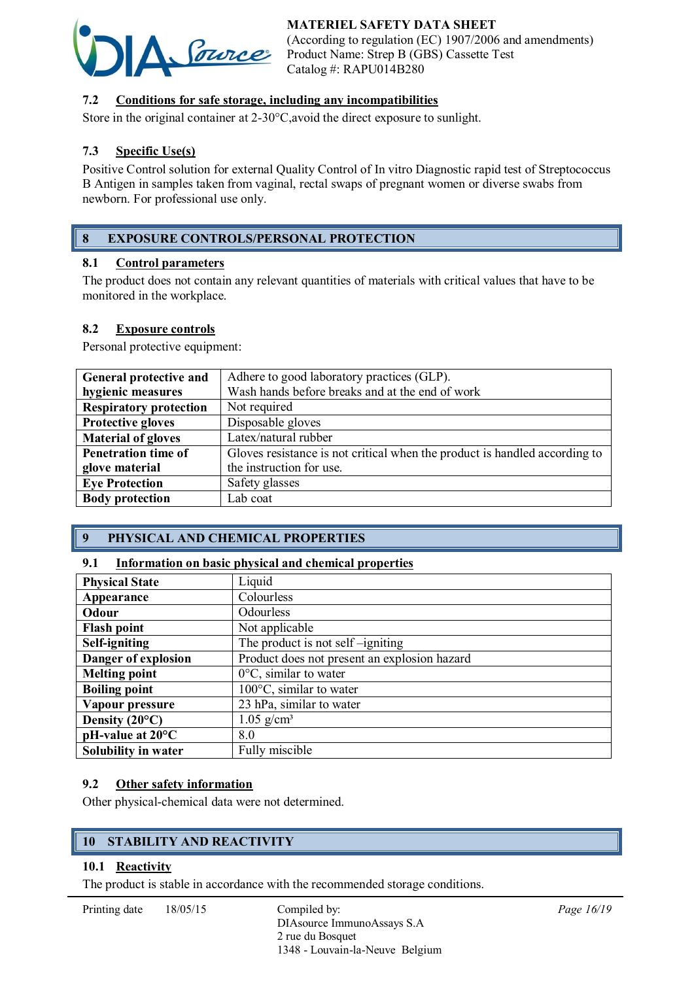# MATERIEL SAFETY DATA SHEET



(According to regulation (EC) 1907/2006 and amendments) Product Name: Strep B (GBS) Cassette Test Catalog #: RAPU014B280

# 7.2 Conditions for safe storage, including any incompatibilities

Store in the original container at 2-30°C,avoid the direct exposure to sunlight.

# 7.3 Specific Use(s)

Positive Control solution for external Quality Control of In vitro Diagnostic rapid test of Streptococcus B Antigen in samples taken from vaginal, rectal swaps of pregnant women or diverse swabs from newborn. For professional use only.

# 8 EXPOSURE CONTROLS/PERSONAL PROTECTION

### 8.1 Control parameters

The product does not contain any relevant quantities of materials with critical values that have to be monitored in the workplace.

# 8.2 Exposure controls

Personal protective equipment:

| General protective and        | Adhere to good laboratory practices (GLP).                                 |  |
|-------------------------------|----------------------------------------------------------------------------|--|
| hygienic measures             | Wash hands before breaks and at the end of work                            |  |
| <b>Respiratory protection</b> | Not required                                                               |  |
| <b>Protective gloves</b>      | Disposable gloves                                                          |  |
| <b>Material of gloves</b>     | Latex/natural rubber                                                       |  |
| <b>Penetration time of</b>    | Gloves resistance is not critical when the product is handled according to |  |
| glove material                | the instruction for use.                                                   |  |
| <b>Eye Protection</b>         | Safety glasses                                                             |  |
| <b>Body protection</b>        | Lab coat                                                                   |  |

# 9 PHYSICAL AND CHEMICAL PROPERTIES

### 9.1 Information on basic physical and chemical properties

| <b>Physical State</b>        | Liquid                                       |  |
|------------------------------|----------------------------------------------|--|
| Appearance                   | Colourless                                   |  |
| Odour                        | Odourless                                    |  |
| <b>Flash point</b>           | Not applicable                               |  |
| Self-igniting                | The product is not self-igniting             |  |
| Danger of explosion          | Product does not present an explosion hazard |  |
| <b>Melting point</b>         | $0^{\circ}$ C, similar to water              |  |
| <b>Boiling point</b>         | $100^{\circ}$ C, similar to water            |  |
| Vapour pressure              | 23 hPa, similar to water                     |  |
| Density $(20^{\circ}C)$      | $1.05$ g/cm <sup>3</sup>                     |  |
| $pH$ -value at $20^{\circ}C$ | 8.0                                          |  |
| Solubility in water          | Fully miscible                               |  |

### 9.2 Other safety information

Other physical-chemical data were not determined.

# 10 STABILITY AND REACTIVITY

# 10.1 Reactivity

The product is stable in accordance with the recommended storage conditions.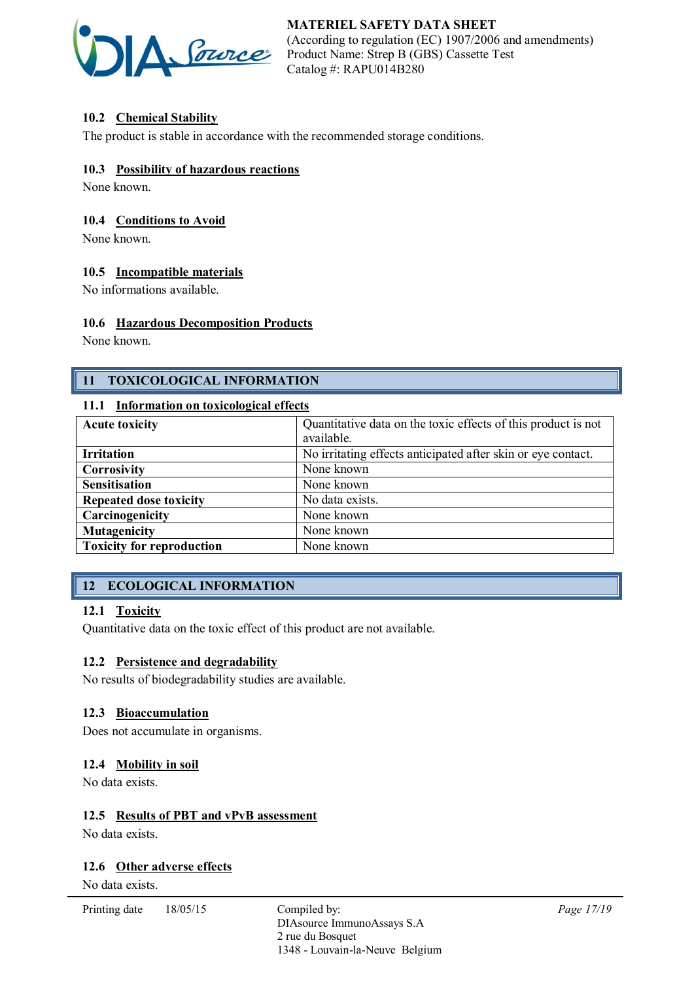

# 10.2 Chemical Stability

The product is stable in accordance with the recommended storage conditions.

### 10.3 Possibility of hazardous reactions

None known.

### 10.4 Conditions to Avoid

None known.

### 10.5 Incompatible materials

No informations available.

### 10.6 Hazardous Decomposition Products

None known.

# 11 TOXICOLOGICAL INFORMATION

### 11.1 Information on toxicological effects

| <b>Acute toxicity</b>            | Quantitative data on the toxic effects of this product is not |  |
|----------------------------------|---------------------------------------------------------------|--|
|                                  | available.                                                    |  |
| <b>Irritation</b>                | No irritating effects anticipated after skin or eye contact.  |  |
| Corrosivity                      | None known                                                    |  |
| <b>Sensitisation</b>             | None known                                                    |  |
| <b>Repeated dose toxicity</b>    | No data exists.                                               |  |
| Carcinogenicity                  | None known                                                    |  |
| <b>Mutagenicity</b>              | None known                                                    |  |
| <b>Toxicity for reproduction</b> | None known                                                    |  |

# 12 ECOLOGICAL INFORMATION

### 12.1 Toxicity

Quantitative data on the toxic effect of this product are not available.

### 12.2 Persistence and degradability

No results of biodegradability studies are available.

### 12.3 Bioaccumulation

Does not accumulate in organisms.

### 12.4 Mobility in soil

No data exists.

### 12.5 Results of PBT and vPvB assessment

No data exists.

### 12.6 Other adverse effects

No data exists.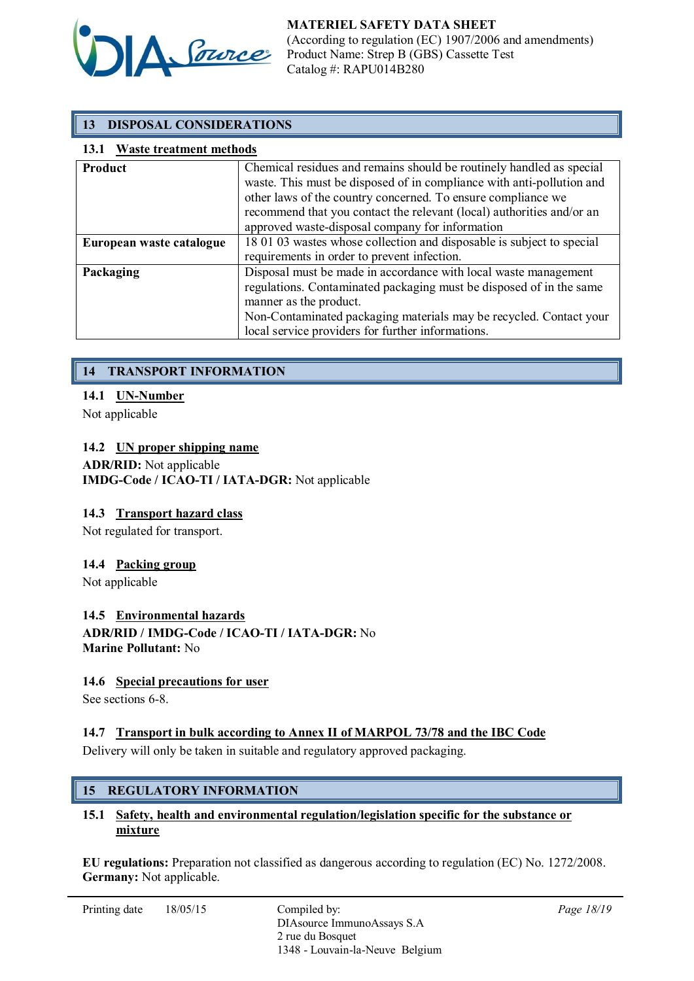

# 13 DISPOSAL CONSIDERATIONS

### 13.1 Waste treatment methods

| Product                  | Chemical residues and remains should be routinely handled as special<br>waste. This must be disposed of in compliance with anti-pollution and<br>other laws of the country concerned. To ensure compliance we<br>recommend that you contact the relevant (local) authorities and/or an<br>approved waste-disposal company for information |  |  |
|--------------------------|-------------------------------------------------------------------------------------------------------------------------------------------------------------------------------------------------------------------------------------------------------------------------------------------------------------------------------------------|--|--|
| European waste catalogue | 18 01 03 wastes whose collection and disposable is subject to special                                                                                                                                                                                                                                                                     |  |  |
|                          | requirements in order to prevent infection.                                                                                                                                                                                                                                                                                               |  |  |
| Packaging                | Disposal must be made in accordance with local waste management<br>regulations. Contaminated packaging must be disposed of in the same<br>manner as the product.<br>Non-Contaminated packaging materials may be recycled. Contact your<br>local service providers for further informations.                                               |  |  |

# 14 TRANSPORT INFORMATION

### 14.1 UN-Number

Not applicable

### 14.2 UN proper shipping name

ADR/RID: Not applicable IMDG-Code / ICAO-TI / IATA-DGR: Not applicable

### 14.3 Transport hazard class

Not regulated for transport.

#### 14.4 Packing group

Not applicable

#### 14.5 Environmental hazards

ADR/RID / IMDG-Code / ICAO-TI / IATA-DGR: No Marine Pollutant: No

### 14.6 Special precautions for user

See sections 6-8.

### 14.7 Transport in bulk according to Annex II of MARPOL 73/78 and the IBC Code

Delivery will only be taken in suitable and regulatory approved packaging.

### 15 REGULATORY INFORMATION

### 15.1 Safety, health and environmental regulation/legislation specific for the substance or mixture

EU regulations: Preparation not classified as dangerous according to regulation (EC) No. 1272/2008. Germany: Not applicable.